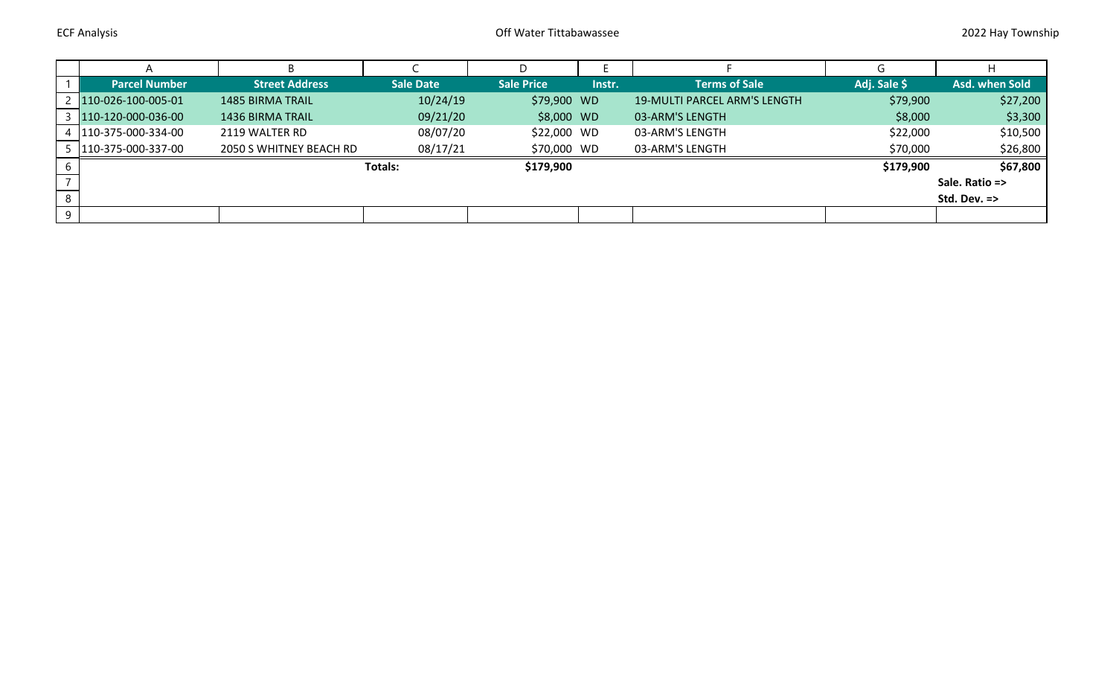|   |                        |                         |                  |                   |        |                                     | G            |                         |
|---|------------------------|-------------------------|------------------|-------------------|--------|-------------------------------------|--------------|-------------------------|
|   | <b>Parcel Number</b>   | <b>Street Address</b>   | <b>Sale Date</b> | <b>Sale Price</b> | Instr. | <b>Terms of Sale</b>                | Adj. Sale \$ | Asd. when Sold          |
|   | 2   110-026-100-005-01 | 1485 BIRMA TRAIL        | 10/24/19         | \$79,900 WD       |        | <b>19-MULTI PARCEL ARM'S LENGTH</b> | \$79,900     | \$27,200                |
|   | 110-120-000-036-00     | 1436 BIRMA TRAIL        | 09/21/20         | \$8,000 WD        |        | 03-ARM'S LENGTH                     | \$8,000      | \$3,300                 |
|   | 110-375-000-334-00     | 2119 WALTER RD          | 08/07/20         | \$22,000 WD       |        | 03-ARM'S LENGTH                     | \$22,000     | \$10,500                |
|   | 110-375-000-337-00     | 2050 S WHITNEY BEACH RD | 08/17/21         | \$70,000 WD       |        | 03-ARM'S LENGTH                     | \$70,000     | \$26,800                |
|   |                        |                         | <b>Totals:</b>   | \$179,900         |        |                                     | \$179,900    | \$67,800                |
|   |                        |                         |                  |                   |        |                                     |              | Sale. Ratio =>          |
| 8 |                        |                         |                  |                   |        |                                     |              | Std. Dev. $\Rightarrow$ |
| 9 |                        |                         |                  |                   |        |                                     |              |                         |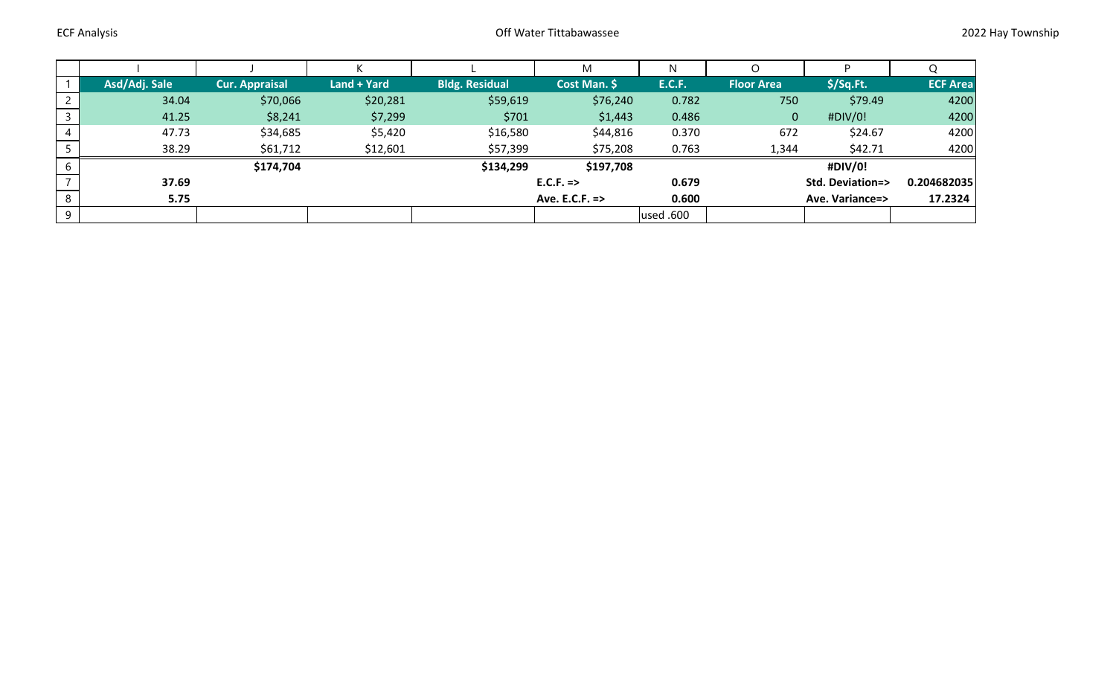|   |               |                       |             |                       |                           | N             |                   |                            |                 |
|---|---------------|-----------------------|-------------|-----------------------|---------------------------|---------------|-------------------|----------------------------|-----------------|
|   | Asd/Adj. Sale | <b>Cur. Appraisal</b> | Land + Yard | <b>Bldg. Residual</b> | Cost Man. \$              | <b>E.C.F.</b> | <b>Floor Area</b> | $$$ /Sq.Ft.                | <b>ECF Area</b> |
|   | 34.04         | \$70,066              | \$20,281    | \$59,619              | \$76,240                  | 0.782         | 750               | \$79.49                    | 4200            |
|   | 41.25         | \$8,241               | \$7,299     | \$701                 | \$1,443                   | 0.486         | $\mathbf{0}$      | #DIV/0!                    | 4200            |
|   | 47.73         | \$34,685              | \$5,420     | \$16,580              | \$44,816                  | 0.370         | 672               | \$24.67                    | 4200            |
|   | 38.29         | \$61,712              | \$12,601    | \$57,399              | \$75,208                  | 0.763         | 1,344             | \$42.71                    | 4200            |
|   |               | \$174,704             |             | \$134,299             | \$197,708                 |               |                   | #DIV/0!                    |                 |
|   | 37.69         |                       |             |                       | $E.C.F. \Rightarrow$      | 0.679         |                   | <b>Std. Deviation=&gt;</b> |                 |
| 8 | 5.75          |                       |             |                       | Ave. E.C.F. $\Rightarrow$ | 0.600         |                   | Ave. Variance=>            | 17.2324         |
| 9 |               |                       |             |                       |                           | used .600     |                   |                            |                 |